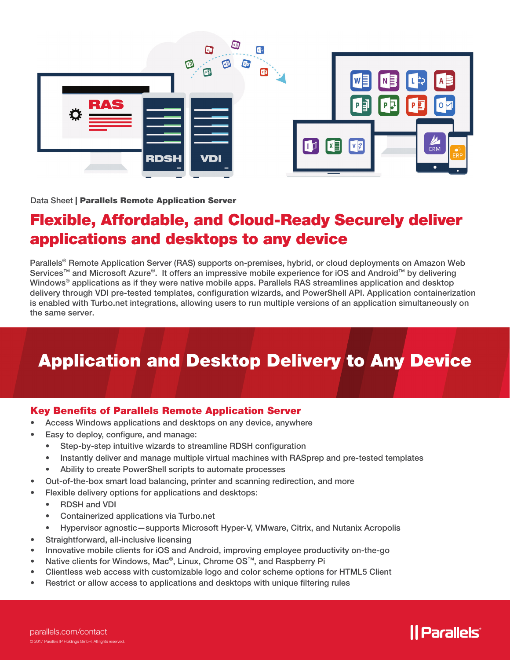

Data Sheet | Parallels Remote Application Server

# Flexible, Affordable, and Cloud-Ready Securely deliver applications and desktops to any device

Parallels<sup>®</sup> Remote Application Server (RAS) supports on-premises, hybrid, or cloud deployments on Amazon Web Services™ and Microsoft Azure®. It offers an impressive mobile experience for iOS and Android™ by delivering Windows® applications as if they were native mobile apps. Parallels RAS streamlines application and desktop delivery through VDI pre-tested templates, configuration wizards, and PowerShell API. Application containerization is enabled with Turbo.net integrations, allowing users to run multiple versions of an application simultaneously on the same server.

# Application and Desktop Delivery to Any Device

## Key Benefits of Parallels Remote Application Server

- Access Windows applications and desktops on any device, anywhere
- Easy to deploy, configure, and manage:
	- Step-by-step intuitive wizards to streamline RDSH configuration
	- Instantly deliver and manage multiple virtual machines with RASprep and pre-tested templates
	- Ability to create PowerShell scripts to automate processes
- Out-of-the-box smart load balancing, printer and scanning redirection, and more
- Flexible delivery options for applications and desktops:
	- RDSH and VDI
	- Containerized applications via Turbo.net
	- Hypervisor agnostic—supports Microsoft Hyper-V, VMware, Citrix, and Nutanix Acropolis
- Straightforward, all-inclusive licensing
- Innovative mobile clients for iOS and Android, improving employee productivity on-the-go
- Native clients for Windows, Mac®, Linux, Chrome OS™, and Raspberry Pi
- Clientless web access with customizable logo and color scheme options for HTML5 Client
- Restrict or allow access to applications and desktops with unique filtering rules

# *|| Parallels*